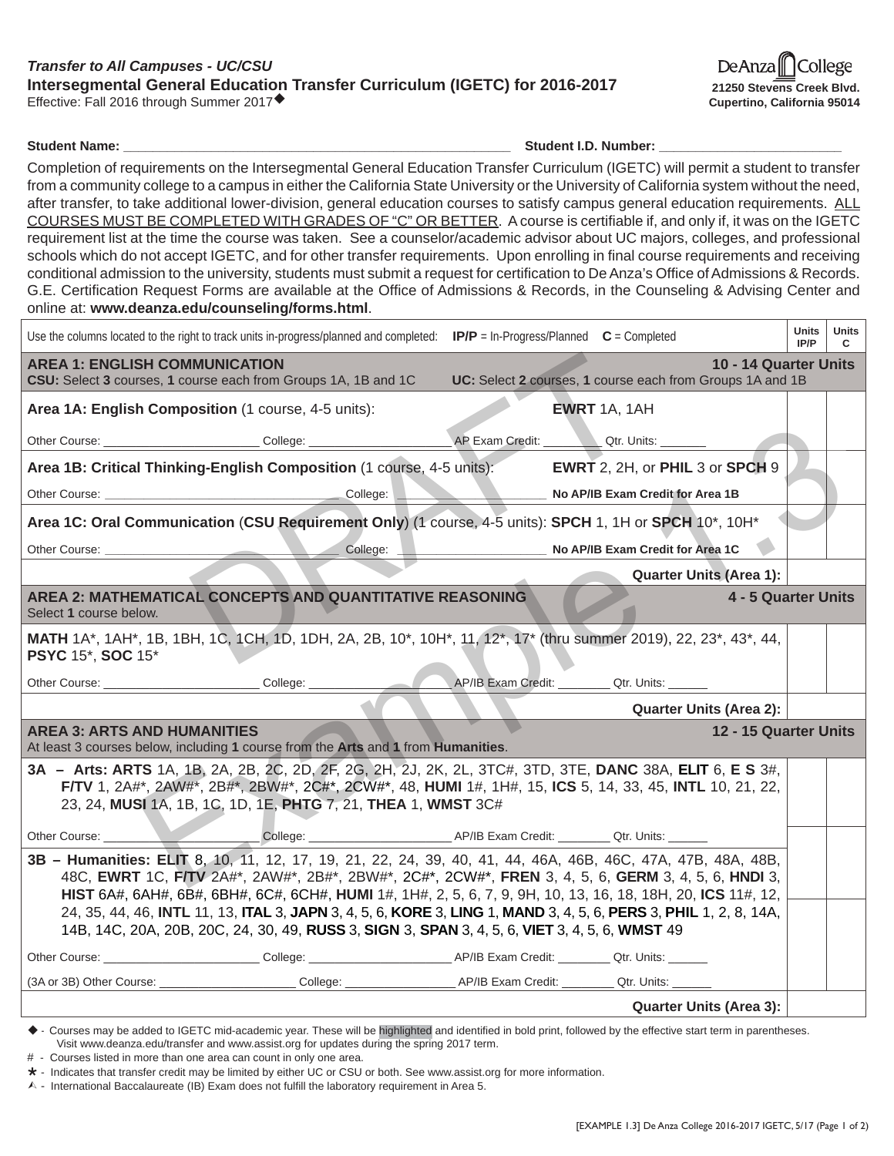## *Transfer to All Campuses - UC/CSU* **Intersegmental General Education Transfer Curriculum (IGETC) for 2016-2017** Effective: Fall 2016 through Summer 2017

De Anza College **21250 Stevens Creek Blvd. Cupertino, California 95014**

**Student Name: Contained Act 2012 12:00 Student I.D. Number: Contained Act 2013** 

Completion of requirements on the Intersegmental General Education Transfer Curriculum (IGETC) will permit a student to transfer from a community college to a campus in either the California State University or the University of California system without the need, after transfer, to take additional lower-division, general education courses to satisfy campus general education requirements. ALL COURSES MUST BE COMPLETED WITH GRADES OF "C" OR BETTER. A course is certifiable if, and only if, it was on the IGETC requirement list at the time the course was taken. See a counselor/academic advisor about UC majors, colleges, and professional schools which do not accept IGETC, and for other transfer requirements. Upon enrolling in final course requirements and receiving conditional admission to the university, students must submit a request for certification to De Anza's Office of Admissions & Records. G.E. Certification Request Forms are available at the Office of Admissions & Records, in the Counseling & Advising Center and online at: **www.deanza.edu/counseling/forms.html**.

| Use the columns located to the right to track units in-progress/planned and completed: $IP/P = \text{In-Progress/Planned } C = \text{Complete}$                                                                                                                                                                                                                                                                                                                                                                                                           | Units<br>IP/P | Units<br>C |  |  |  |  |
|-----------------------------------------------------------------------------------------------------------------------------------------------------------------------------------------------------------------------------------------------------------------------------------------------------------------------------------------------------------------------------------------------------------------------------------------------------------------------------------------------------------------------------------------------------------|---------------|------------|--|--|--|--|
| 10 - 14 Quarter Units<br><b>AREA 1: ENGLISH COMMUNICATION</b><br>UC: Select 2 courses, 1 course each from Groups 1A and 1B<br>CSU: Select 3 courses, 1 course each from Groups 1A, 1B and 1C                                                                                                                                                                                                                                                                                                                                                              |               |            |  |  |  |  |
| Area 1A: English Composition (1 course, 4-5 units):<br><b>EWRT</b> 1A, 1AH                                                                                                                                                                                                                                                                                                                                                                                                                                                                                |               |            |  |  |  |  |
| Other Course: ________________________________College: _________________________                                                                                                                                                                                                                                                                                                                                                                                                                                                                          |               |            |  |  |  |  |
| Area 1B: Critical Thinking-English Composition (1 course, 4-5 units): EWRT 2, 2H, or PHIL 3 or SPCH 9                                                                                                                                                                                                                                                                                                                                                                                                                                                     |               |            |  |  |  |  |
| No AP/IB Exam Credit for Area 1B                                                                                                                                                                                                                                                                                                                                                                                                                                                                                                                          |               |            |  |  |  |  |
| Area 1C: Oral Communication (CSU Requirement Only) (1 course, 4-5 units): SPCH 1, 1H or SPCH 10*, 10H*                                                                                                                                                                                                                                                                                                                                                                                                                                                    |               |            |  |  |  |  |
| College:<br>No AP/IB Exam Credit for Area 1C                                                                                                                                                                                                                                                                                                                                                                                                                                                                                                              |               |            |  |  |  |  |
| <b>Quarter Units (Area 1):</b>                                                                                                                                                                                                                                                                                                                                                                                                                                                                                                                            |               |            |  |  |  |  |
| AREA 2: MATHEMATICAL CONCEPTS AND QUANTITATIVE REASONING<br>4 - 5 Quarter Units<br>Select 1 course below.                                                                                                                                                                                                                                                                                                                                                                                                                                                 |               |            |  |  |  |  |
| MATH 1A*, 1AH*, 1B, 1BH, 1C, 1CH, 1D, 1DH, 2A, 2B, 10*, 10H*, 11, 12*, 17* (thru summer 2019), 22, 23*, 43*, 44,<br><b>PSYC 15*, SOC 15*</b>                                                                                                                                                                                                                                                                                                                                                                                                              |               |            |  |  |  |  |
| Other Course: ________________________________College: _________________________<br>AP/IB Exam Credit: Qtr. Units: _____                                                                                                                                                                                                                                                                                                                                                                                                                                  |               |            |  |  |  |  |
| <b>Quarter Units (Area 2):</b>                                                                                                                                                                                                                                                                                                                                                                                                                                                                                                                            |               |            |  |  |  |  |
| <b>AREA 3: ARTS AND HUMANITIES</b><br>12 - 15 Quarter Units<br>At least 3 courses below, including 1 course from the Arts and 1 from Humanities.                                                                                                                                                                                                                                                                                                                                                                                                          |               |            |  |  |  |  |
| 3A - Arts: ARTS 1A, 1B, 2A, 2B, 2C, 2D, 2F, 2G, 2H, 2J, 2K, 2L, 3TC#, 3TD, 3TE, DANC 38A, ELIT 6, E S 3#,<br>F/TV 1, 2A#*, 2AW#*, 2B#*, 2BW#*, 2C#*, 2CW#*, 48, HUMI 1#, 1H#, 15, ICS 5, 14, 33, 45, INTL 10, 21, 22,<br>23, 24, MUSI 1A, 1B, 1C, 1D, 1E, PHTG 7, 21, THEA 1, WMST 3C#                                                                                                                                                                                                                                                                    |               |            |  |  |  |  |
| College: College: College: College: College: College: College: College: College: College: College: College: College: College: College: College: College: College: College: College: College: College: College: College: Colleg<br>Other Course: _________                                                                                                                                                                                                                                                                                                 |               |            |  |  |  |  |
| 3B - Humanities: ELIT 8, 10, 11, 12, 17, 19, 21, 22, 24, 39, 40, 41, 44, 46A, 46B, 46C, 47A, 47B, 48A, 48B,<br>48C, EWRT 1C, FITV 2A#*, 2AW#*, 2B#*, 2BW#*, 2C#*, 2CW#*, FREN 3, 4, 5, 6, GERM 3, 4, 5, 6, HNDI 3,<br>HIST 6A#, 6AH#, 6B#, 6BH#, 6C#, 6CH#, HUMI 1#, 1H#, 2, 5, 6, 7, 9, 9H, 10, 13, 16, 18, 18H, 20, ICS 11#, 12,<br>24, 35, 44, 46, INTL 11, 13, ITAL 3, JAPN 3, 4, 5, 6, KORE 3, LING 1, MAND 3, 4, 5, 6, PERS 3, PHIL 1, 2, 8, 14A,<br>14B, 14C, 20A, 20B, 20C, 24, 30, 49, RUSS 3, SIGN 3, SPAN 3, 4, 5, 6, VIET 3, 4, 5, 6, WMST 49 |               |            |  |  |  |  |
| Other Course: College: College: College: AP/IB Exam Credit: Que. 0.1. Qtr. Units:                                                                                                                                                                                                                                                                                                                                                                                                                                                                         |               |            |  |  |  |  |
|                                                                                                                                                                                                                                                                                                                                                                                                                                                                                                                                                           |               |            |  |  |  |  |
| <b>Quarter Units (Area 3):</b>                                                                                                                                                                                                                                                                                                                                                                                                                                                                                                                            |               |            |  |  |  |  |

- Courses may be added to IGETC mid-academic year. These will be highlighted and identified in bold print, followed by the effective start term in parentheses. Visit www.deanza.edu/transfer and www.assist.org for updates during the spring 2017 term.

# - Courses listed in more than one area can count in only one area.

 $\star$  - Indicates that transfer credit may be limited by either UC or CSU or both. See www.assist.org for more information.

 $\wedge$  - International Baccalaureate (IB) Exam does not fulfill the laboratory requirement in Area 5.